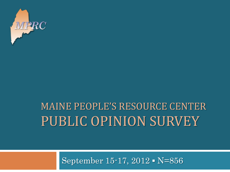

#### MAINE PEOPLE'S RESOURCE CENTER PUBLIC OPINION SURVEY

September 15-17, 2012 ▪ N=856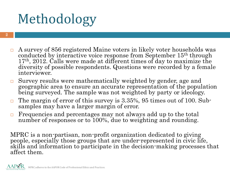# Methodology

- $\Box$  A survey of 856 registered Maine voters in likely voter households was conducted by interactive voice response from September 15<sup>th</sup> through  $17<sup>th</sup>$ , 2012. Calls were made at different times of day to maximize the diversity of possible respondents. Questions were recorded by a female interviewer.
- Survey results were mathematically weighted by gender, age and geographic area to ensure an accurate representation of the population being surveyed. The sample was not weighted by party or ideology.
- The margin of error of this survey is  $3.35\%$ , 95 times out of 100. Subsamples may have a larger margin of error.
- Frequencies and percentages may not always add up to the total number of responses or to 100%, due to weighting and rounding.

MPRC is a non-partisan, non-profit organization dedicated to giving people, especially those groups that are under-represented in civic life, skills and information to participate in the decision-making processes that affect them.

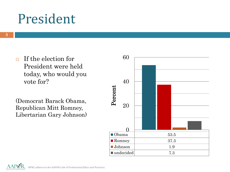#### President

 $\Box$  If the election for President were held today, who would you vote for?

(Democrat Barack Obama, Republican Mitt Romney, Libertarian Gary Johnson)



MPRC adheres to the AAPOR Code of Professional Ethics and Practices.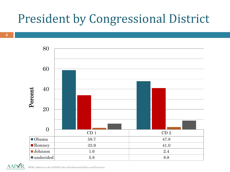#### President by Congressional District





 $\rm{AP}\textcolor{red}{\textbf{OR}}$  MPRC adheres to the AAPOR Code of Professional Ethics and Practices.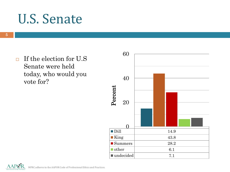#### U.S. Senate

 $\Box$  If the election for U.S Senate were held today, who would you vote for?



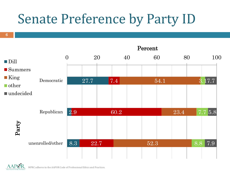## Senate Preference by Party ID



6

MPRC adheres to the AAPOR Code of Professional Ethics and Practices.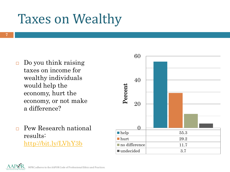## Taxes on Wealthy

- $\Box$  Do you think raising taxes on income for wealthy individuals would help the economy, hurt the economy, or not make a difference?
- Pew Research national results: <http://bit.ly/LVhY3b>



MPRC adheres to the AAPOR Code of Professional Ethics and Practices.